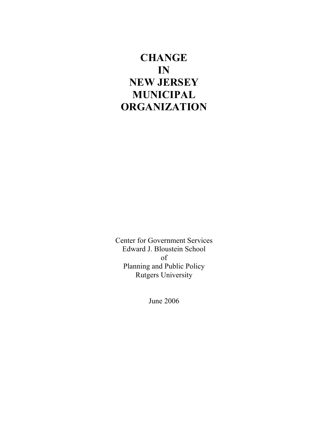# **CHANGE IN NEW JERSEY MUNICIPAL ORGANIZATION**

Center for Government Services Edward J. Bloustein School of Planning and Public Policy Rutgers University

June 2006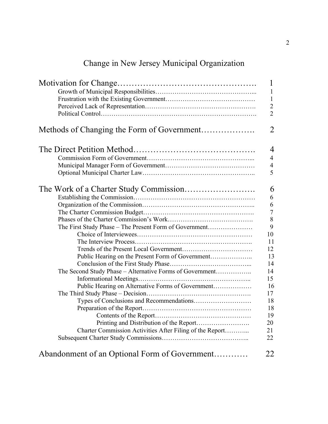# Change in New Jersey Municipal Organization

| Methods of Changing the Form of Government               |
|----------------------------------------------------------|
|                                                          |
|                                                          |
|                                                          |
|                                                          |
|                                                          |
|                                                          |
|                                                          |
|                                                          |
|                                                          |
|                                                          |
| The First Study Phase - The Present Form of Government   |
|                                                          |
|                                                          |
|                                                          |
| Public Hearing on the Present Form of Government         |
|                                                          |
| The Second Study Phase - Alternative Forms of Government |
|                                                          |
| Public Hearing on Alternative Forms of Government        |
|                                                          |
|                                                          |
|                                                          |
|                                                          |
|                                                          |
| Charter Commission Activities After Filing of the Report |
|                                                          |
|                                                          |
| Abandonment of an Optional Form of Government            |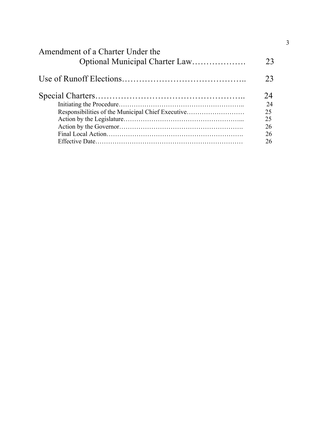| Amendment of a Charter Under the                  | 23 |
|---------------------------------------------------|----|
|                                                   | 23 |
|                                                   | 24 |
|                                                   | 24 |
| Responsibilities of the Municipal Chief Executive | 25 |
|                                                   | 25 |
|                                                   | 26 |
|                                                   | 26 |
|                                                   | 26 |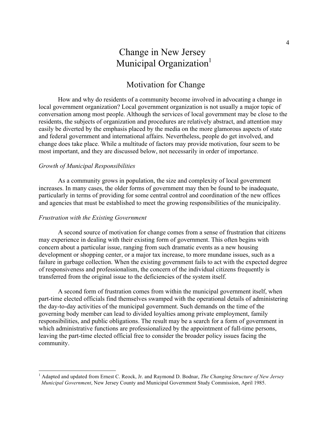## Change in New Jersey Municipal Organization<sup>1</sup>

## Motivation for Change

How and why do residents of a community become involved in advocating a change in local government organization? Local government organization is not usually a major topic of conversation among most people. Although the services of local government may be close to the residents, the subjects of organization and procedures are relatively abstract, and attention may easily be diverted by the emphasis placed by the media on the more glamorous aspects of state and federal government and international affairs. Nevertheless, people do get involved, and change does take place. While a multitude of factors may provide motivation, four seem to be most important, and they are discussed below, not necessarily in order of importance.

#### *Growth of Municipal Responsibilities*

As a community grows in population, the size and complexity of local government increases. In many cases, the older forms of government may then be found to be inadequate, particularly in terms of providing for some central control and coordination of the new offices and agencies that must be established to meet the growing responsibilities of the municipality.

#### *Frustration with the Existing Government*

A second source of motivation for change comes from a sense of frustration that citizens may experience in dealing with their existing form of government. This often begins with concern about a particular issue, ranging from such dramatic events as a new housing development or shopping center, or a major tax increase, to more mundane issues, such as a failure in garbage collection. When the existing government fails to act with the expected degree of responsiveness and professionalism, the concern of the individual citizens frequently is transferred from the original issue to the deficiencies of the system itself.

A second form of frustration comes from within the municipal government itself, when part-time elected officials find themselves swamped with the operational details of administering the day-to-day activities of the municipal government. Such demands on the time of the governing body member can lead to divided loyalties among private employment, family responsibilities, and public obligations. The result may be a search for a form of government in which administrative functions are professionalized by the appointment of full-time persons, leaving the part-time elected official free to consider the broader policy issues facing the community.

 <sup>1</sup> Adapted and updated from Ernest C. Reock, Jr. and Raymond D. Bodnar, *The Changing Structure of New Jersey Municipal Government*, New Jersey County and Municipal Government Study Commission, April 1985.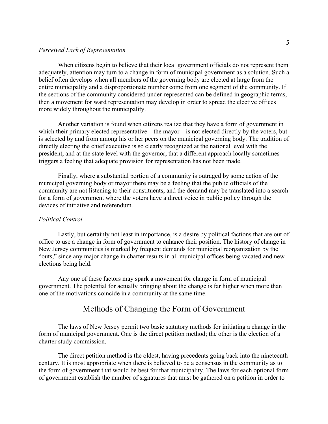#### *Perceived Lack of Representation*

When citizens begin to believe that their local government officials do not represent them adequately, attention may turn to a change in form of municipal government as a solution. Such a belief often develops when all members of the governing body are elected at large from the entire municipality and a disproportionate number come from one segment of the community. If the sections of the community considered under-represented can be defined in geographic terms, then a movement for ward representation may develop in order to spread the elective offices more widely throughout the municipality.

Another variation is found when citizens realize that they have a form of government in which their primary elected representative—the mayor—is not elected directly by the voters, but is selected by and from among his or her peers on the municipal governing body. The tradition of directly electing the chief executive is so clearly recognized at the national level with the president, and at the state level with the governor, that a different approach locally sometimes triggers a feeling that adequate provision for representation has not been made.

Finally, where a substantial portion of a community is outraged by some action of the municipal governing body or mayor there may be a feeling that the public officials of the community are not listening to their constituents, and the demand may be translated into a search for a form of government where the voters have a direct voice in public policy through the devices of initiative and referendum.

#### *Political Control*

Lastly, but certainly not least in importance, is a desire by political factions that are out of office to use a change in form of government to enhance their position. The history of change in New Jersey communities is marked by frequent demands for municipal reorganization by the "outs," since any major change in charter results in all municipal offices being vacated and new elections being held.

Any one of these factors may spark a movement for change in form of municipal government. The potential for actually bringing about the change is far higher when more than one of the motivations coincide in a community at the same time.

## Methods of Changing the Form of Government

The laws of New Jersey permit two basic statutory methods for initiating a change in the form of municipal government. One is the direct petition method; the other is the election of a charter study commission.

The direct petition method is the oldest, having precedents going back into the nineteenth century. It is most appropriate when there is believed to be a consensus in the community as to the form of government that would be best for that municipality. The laws for each optional form of government establish the number of signatures that must be gathered on a petition in order to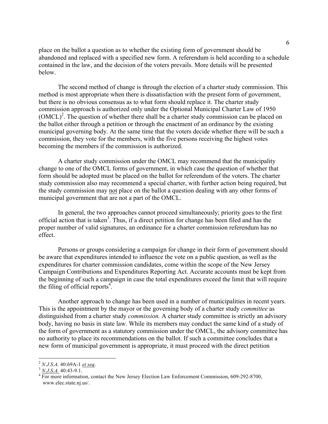place on the ballot a question as to whether the existing form of government should be abandoned and replaced with a specified new form. A referendum is held according to a schedule contained in the law, and the decision of the voters prevails. More details will be presented below.

The second method of change is through the election of a charter study commission. This method is most appropriate when there is dissatisfaction with the present form of government, but there is no obvious consensus as to what form should replace it. The charter study commission approach is authorized only under the Optional Municipal Charter Law of 1950  $(OMCL)<sup>2</sup>$ . The question of whether there shall be a charter study commission can be placed on the ballot either through a petition or through the enactment of an ordinance by the existing municipal governing body. At the same time that the voters decide whether there will be such a commission, they vote for the members, with the five persons receiving the highest votes becoming the members if the commission is authorized.

A charter study commission under the OMCL may recommend that the municipality change to one of the OMCL forms of government, in which case the question of whether that form should be adopted must be placed on the ballot for referendum of the voters. The charter study commission also may recommend a special charter, with further action being required, but the study commission may not place on the ballot a question dealing with any other forms of municipal government that are not a part of the OMCL.

In general, the two approaches cannot proceed simultaneously; priority goes to the first official action that is taken<sup>3</sup>. Thus, if a direct petition for change has been filed and has the proper number of valid signatures, an ordinance for a charter commission referendum has no effect.

Persons or groups considering a campaign for change in their form of government should be aware that expenditures intended to influence the vote on a public question, as well as the expenditures for charter commission candidates, come within the scope of the New Jersey Campaign Contributions and Expenditures Reporting Act. Accurate accounts must be kept from the beginning of such a campaign in case the total expenditures exceed the limit that will require the filing of official reports $4$ .

Another approach to change has been used in a number of municipalities in recent years. This is the appointment by the mayor or the governing body of a charter study *committee* as distinguished from a charter study *commission.* A charter study committee is strictly an advisory body, having no basis in state law. While its members may conduct the same kind of a study of the form of government as a statutory commission under the OMCL, the advisory committee has no authority to place its recommendations on the ballot. If such a committee concludes that a new form of municipal government is appropriate, it must proceed with the direct petition

 $\frac{3}{2}$  *N.J.S.A.* 40:69A-1 *et seq.*<br> $\frac{3}{4}$  *N.J.S.A.* 40:43-9.1.<br><sup>4</sup> For more information, contact the New Jersey Election Law Enforcement Commission, 609-292-8700, www.elec.state.nj.us/.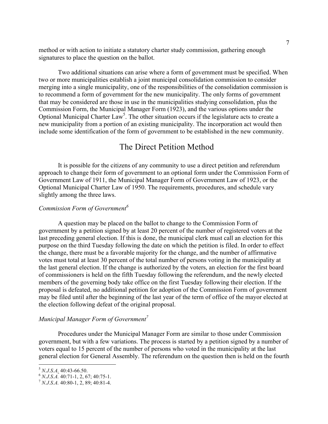method or with action to initiate a statutory charter study commission, gathering enough signatures to place the question on the ballot.

Two additional situations can arise where a form of government must be specified. When two or more municipalities establish a joint municipal consolidation commission to consider merging into a single municipality, one of the responsibilities of the consolidation commission is to recommend a form of government for the new municipality. The only forms of government that may be considered are those in use in the municipalities studying consolidation, plus the Commission Form, the Municipal Manager Form (1923), and the various options under the Optional Municipal Charter Law<sup>5</sup>. The other situation occurs if the legislature acts to create a new municipality from a portion of an existing municipality. The incorporation act would then include some identification of the form of government to be established in the new community.

## The Direct Petition Method

It is possible for the citizens of any community to use a direct petition and referendum approach to change their form of government to an optional form under the Commission Form of Government Law of 1911, the Municipal Manager Form of Government Law of 1923, or the Optional Municipal Charter Law of 1950. The requirements, procedures, and schedule vary slightly among the three laws.

#### *Commission Form of Government<sup>6</sup>*

A question may be placed on the ballot to change to the Commission Form of government by a petition signed by at least 20 percent of the number of registered voters at the last preceding general election. If this is done, the municipal clerk must call an election for this purpose on the third Tuesday following the date on which the petition is filed. In order to effect the change, there must be a favorable majority for the change, and the number of affirmative votes must total at least 30 percent of the total number of persons voting in the municipality at the last general election. If the change is authorized by the voters, an election for the first board of commissioners is held on the fifth Tuesday following the referendum, and the newly elected members of the governing body take office on the first Tuesday following their election. If the proposal is defeated, no additional petition for adoption of the Commission Form of government may be filed until after the beginning of the last year of the term of office of the mayor elected at the election following defeat of the original proposal.

#### *Municipal Manager Form of Government<sup>7</sup>*

Procedures under the Municipal Manager Form are similar to those under Commission government, but with a few variations. The process is started by a petition signed by a number of voters equal to 15 percent of the number of persons who voted in the municipality at the last general election for General Assembly. The referendum on the question then is held on the fourth

<sup>5</sup> *N.J.S.A.* 40:43-66.50. 6 *N.J.S.A.* 40:71-1, 2, 67; 40:75-1. <sup>7</sup> *N.J.S.A.* 40:80-1, 2, 89; 40:81-4.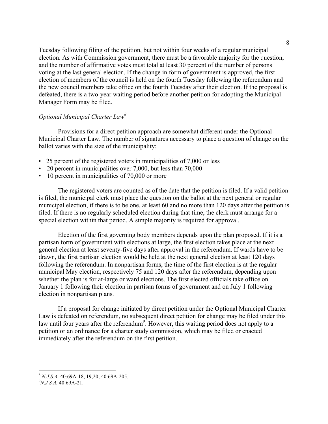Tuesday following filing of the petition, but not within four weeks of a regular municipal election. As with Commission government, there must be a favorable majority for the question, and the number of affirmative votes must total at least 30 percent of the number of persons voting at the last general election. If the change in form of government is approved, the first election of members of the council is held on the fourth Tuesday following the referendum and the new council members take office on the fourth Tuesday after their election. If the proposal is defeated, there is a two-year waiting period before another petition for adopting the Municipal Manager Form may be filed.

#### *Optional Municipal Charter Law8*

Provisions for a direct petition approach are somewhat different under the Optional Municipal Charter Law. The number of signatures necessary to place a question of change on the ballot varies with the size of the municipality:

- 25 percent of the registered voters in municipalities of 7,000 or less
- 20 percent in municipalities over 7,000, but less than 70,000
- 10 percent in municipalities of 70,000 or more

The registered voters are counted as of the date that the petition is filed. If a valid petition is filed, the municipal clerk must place the question on the ballot at the next general or regular municipal election, if there is to be one, at least 60 and no more than 120 days after the petition is filed. If there is no regularly scheduled election during that time, the clerk must arrange for a special election within that period. A simple majority is required for approval.

Election of the first governing body members depends upon the plan proposed. If it is a partisan form of government with elections at large, the first election takes place at the next general election at least seventy-five days after approval in the referendum. If wards have to be drawn, the first partisan election would be held at the next general election at least 120 days following the referendum. In nonpartisan forms, the time of the first election is at the regular municipal May election, respectively 75 and 120 days after the referendum, depending upon whether the plan is for at-large or ward elections. The first elected officials take office on January 1 following their election in partisan forms of government and on July 1 following election in nonpartisan plans.

If a proposal for change initiated by direct petition under the Optional Municipal Charter Law is defeated on referendum, no subsequent direct petition for change may be filed under this law until four years after the referendum<sup>9</sup>. However, this waiting period does not apply to a petition or an ordinance for a charter study commission, which may be filed or enacted immediately after the referendum on the first petition.

<sup>&</sup>lt;sup>8</sup> *N.J.S.A.* 40:69A-18, 19,20; 40:69A-205.

*N.J.S.A.* 40:69A-21.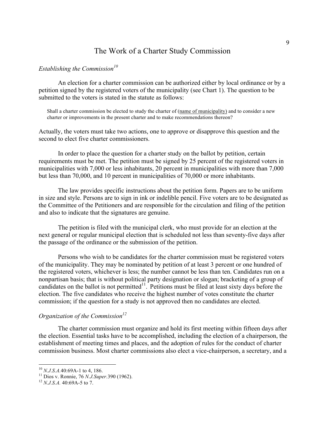## The Work of a Charter Study Commission

#### *Establishing the Commission*<sup>10</sup>

An election for a charter commission can be authorized either by local ordinance or by a petition signed by the registered voters of the municipality (see Chart 1). The question to be submitted to the voters is stated in the statute as follows:

Shall a charter commission be elected to study the charter of (name of municipality) and to consider a new charter or improvements in the present charter and to make recommendations thereon?

Actually, the voters must take two actions, one to approve or disapprove this question and the second to elect five charter commissioners.

In order to place the question for a charter study on the ballot by petition, certain requirements must be met. The petition must be signed by 25 percent of the registered voters in municipalities with 7,000 or less inhabitants, 20 percent in municipalities with more than 7,000 but less than 70,000, and 10 percent in municipalities of 70,000 or more inhabitants.

The law provides specific instructions about the petition form. Papers are to be uniform in size and style. Persons are to sign in ink or indelible pencil. Five voters are to be designated as the Committee of the Petitioners and are responsible for the circulation and filing of the petition and also to indicate that the signatures are genuine.

The petition is filed with the municipal clerk, who must provide for an election at the next general or regular municipal election that is scheduled not less than seventy-five days after the passage of the ordinance or the submission of the petition.

Persons who wish to be candidates for the charter commission must be registered voters of the municipality. They may be nominated by petition of at least 3 percent or one hundred of the registered voters, whichever is less; the number cannot be less than ten. Candidates run on a nonpartisan basis; that is without political party designation or slogan; bracketing of a group of candidates on the ballot is not permitted $11$ . Petitions must be filed at least sixty days before the election. The five candidates who receive the highest number of votes constitute the charter commission; if the question for a study is not approved then no candidates are elected.

#### *Organization of the Commission*<sup>12</sup>

The charter commission must organize and hold its first meeting within fifteen days after the election. Essential tasks have to be accomplished, including the election of a chairperson, the establishment of meeting times and places, and the adoption of rules for the conduct of charter commission business. Most charter commissions also elect a vice-chairperson, a secretary, and a

<sup>&</sup>lt;sup>10</sup> *N.J.S.A.*40:69A-1 to 4, 186.<br><sup>11</sup> Dios v. Ronnie, 76 *N.J.Super*.390 (1962).<br><sup>12</sup> *N.J.S.A.* 40:69A-5 to 7.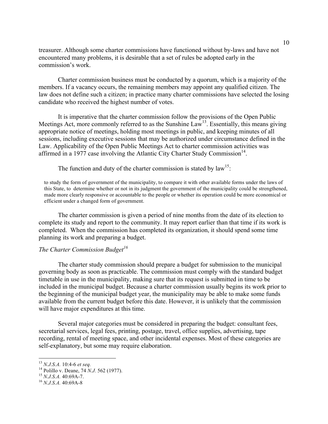treasurer. Although some charter commissions have functioned without by-laws and have not encountered many problems, it is desirable that a set of rules be adopted early in the commission's work.

Charter commission business must be conducted by a quorum, which is a majority of the members. If a vacancy occurs, the remaining members may appoint any qualified citizen. The law does not define such a citizen; in practice many charter commissions have selected the losing candidate who received the highest number of votes.

It is imperative that the charter commission follow the provisions of the Open Public Meetings Act, more commonly referred to as the Sunshine Law<sup>13</sup>. Essentially, this means giving appropriate notice of meetings, holding most meetings in public, and keeping minutes of all sessions, including executive sessions that may be authorized under circumstance defined in the Law. Applicability of the Open Public Meetings Act to charter commission activities was affirmed in a 1977 case involving the Atlantic City Charter Study Commission<sup>14</sup>.

The function and duty of the charter commission is stated by  $law^{15}$ .

to study the form of government of the municipality, to compare it with other available forms under the laws of this State, to determine whether or not in its judgment the government of the municipality could be strengthened, made more clearly responsive or accountable to the people or whether its operation could be more economical or efficient under a changed form of government.

The charter commission is given a period of nine months from the date of its election to complete its study and report to the community. It may report earlier than that time if its work is completed. When the commission has completed its organization, it should spend some time planning its work and preparing a budget.

#### *The Charter Commission Budget<sup>16</sup>*

The charter study commission should prepare a budget for submission to the municipal governing body as soon as practicable. The commission must comply with the standard budget timetable in use in the municipality, making sure that its request is submitted in time to be included in the municipal budget. Because a charter commission usually begins its work prior to the beginning of the municipal budget year, the municipality may be able to make some funds available from the current budget before this date. However, it is unlikely that the commission will have major expenditures at this time.

Several major categories must be considered in preparing the budget: consultant fees, secretarial services, legal fees, printing, postage, travel, office supplies, advertising, tape recording, rental of meeting space, and other incidental expenses. Most of these categories are self-explanatory, but some may require elaboration.

<sup>13</sup> *N.J.S.A.* 10:4-6 *et seq.* <sup>14</sup> Polillo v. Deane, 74 *N.J.* 562 (1977). <sup>15</sup> *N.J.S.A.* 40:69A-7. <sup>16</sup> *N.J.S.A.* 40:69A-8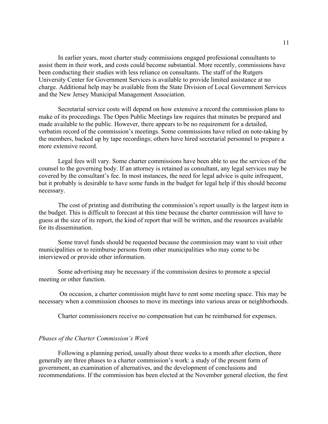In earlier years, most charter study commissions engaged professional consultants to assist them in their work, and costs could become substantial. More recently, commissions have been conducting their studies with less reliance on consultants. The staff of the Rutgers University Center for Government Services is available to provide limited assistance at no charge. Additional help may be available from the State Division of Local Government Services and the New Jersey Municipal Management Association.

Secretarial service costs will depend on how extensive a record the commission plans to make of its proceedings. The Open Public Meetings law requires that minutes be prepared and made available to the public. However, there appears to be no requirement for a detailed, verbatim record of the commission's meetings. Some commissions have relied on note-taking by the members, backed up by tape recordings; others have hired secretarial personnel to prepare a more extensive record.

Legal fees will vary. Some charter commissions have been able to use the services of the counsel to the governing body. If an attorney is retained as consultant, any legal services may be covered by the consultant's fee. In most instances, the need for legal advice is quite infrequent, but it probably is desirable to have some funds in the budget for legal help if this should become necessary.

The cost of printing and distributing the commission's report usually is the largest item in the budget. This is difficult to forecast at this time because the charter commission will have to guess at the size of its report, the kind of report that will be written, and the resources available for its dissemination.

Some travel funds should be requested because the commission may want to visit other municipalities or to reimburse persons from other municipalities who may come to be interviewed or provide other information.

Some advertising may be necessary if the commission desires to promote a special meeting or other function.

On occasion, a charter commission might have to rent some meeting space. This may be necessary when a commission chooses to move its meetings into various areas or neighborhoods.

Charter commissioners receive no compensation but can be reimbursed for expenses.

#### *Phases of the Charter Commission's Work*

Following a planning period, usually about three weeks to a month after election, there generally are three phases to a charter commission's work: a study of the present form of government, an examination of alternatives, and the development of conclusions and recommendations. If the commission has been elected at the November general election, the first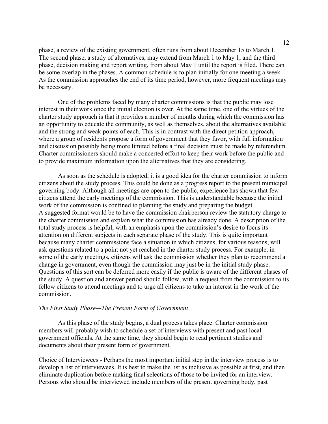phase, a review of the existing government, often runs from about December 15 to March 1. The second phase, a study of alternatives, may extend from March 1 to May 1, and the third phase, decision making and report writing, from about May 1 until the report is filed. There can be some overlap in the phases. A common schedule is to plan initially for one meeting a week. As the commission approaches the end of its time period, however, more frequent meetings may be necessary.

One of the problems faced by many charter commissions is that the public may lose interest in their work once the initial election is over. At the same time, one of the virtues of the charter study approach is that it provides a number of months during which the commission has an opportunity to educate the community, as well as themselves, about the alternatives available and the strong and weak points of each. This is in contrast with the direct petition approach, where a group of residents propose a form of government that they favor, with full information and discussion possibly being more limited before a final decision must be made by referendum. Charter commissioners should make a concerted effort to keep their work before the public and to provide maximum information upon the alternatives that they are considering.

As soon as the schedule is adopted, it is a good idea for the charter commission to inform citizens about the study process. This could be done as a progress report to the present municipal governing body. Although all meetings are open to the public, experience has shown that few citizens attend the early meetings of the commission. This is understandable because the initial work of the commission is confined to planning the study and preparing the budget. A suggested format would be to have the commission chairperson review the statutory charge to the charter commission and explain what the commission has already done. A description of the total study process is helpful, with an emphasis upon the commission's desire to focus its attention on different subjects in each separate phase of the study. This is quite important because many charter commissions face a situation in which citizens, for various reasons, will ask questions related to a point not yet reached in the charter study process. For example, in some of the early meetings, citizens will ask the commission whether they plan to recommend a change in government, even though the commission may just be in the initial study phase. Questions of this sort can be deferred more easily if the public is aware of the different phases of the study. A question and answer period should follow, with a request from the commission to its fellow citizens to attend meetings and to urge all citizens to take an interest in the work of the commission.

#### *The First Study Phase—The Present Form of Government*

As this phase of the study begins, a dual process takes place. Charter commission members will probably wish to schedule a set of interviews with present and past local government officials*.* At the same time, they should begin to read pertinent studies and documents about their present form of government.

Choice of Interviewees - Perhaps the most important initial step in the interview process is to develop a list of interviewees. It is best to make the list as inclusive as possible at first, and then eliminate duplication before making final selections of those to be invited for an interview. Persons who should be interviewed include members of the present governing body, past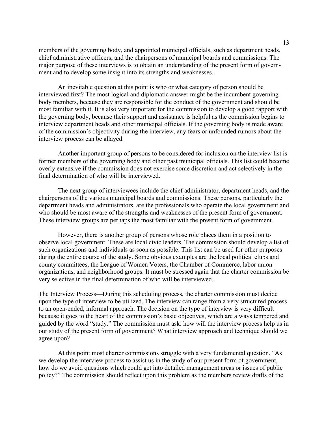members of the governing body, and appointed municipal officials, such as department heads, chief administrative officers, and the chairpersons of municipal boards and commissions. The major purpose of these interviews is to obtain an understanding of the present form of government and to develop some insight into its strengths and weaknesses.

An inevitable question at this point is who or what category of person should be interviewed first? The most logical and diplomatic answer might be the incumbent governing body members, because they are responsible for the conduct of the government and should be most familiar with it. It is also very important for the commission to develop a good rapport with the governing body, because their support and assistance is helpful as the commission begins to interview department heads and other municipal officials. If the governing body is made aware of the commission's objectivity during the interview, any fears or unfounded rumors about the interview process can be allayed.

Another important group of persons to be considered for inclusion on the interview list is former members of the governing body and other past municipal officials. This list could become overly extensive if the commission does not exercise some discretion and act selectively in the final determination of who will be interviewed.

The next group of interviewees include the chief administrator, department heads, and the chairpersons of the various municipal boards and commissions. These persons, particularly the department heads and administrators, are the professionals who operate the local government and who should be most aware of the strengths and weaknesses of the present form of government. These interview groups are perhaps the most familiar with the present form of government.

However, there is another group of persons whose role places them in a position to observe local government. These are local civic leaders. The commission should develop a list of such organizations and individuals as soon as possible. This list can be used for other purposes during the entire course of the study. Some obvious examples are the local political clubs and county committees, the League of Women Voters, the Chamber of Commerce, labor union organizations, and neighborhood groups. It must be stressed again that the charter commission be very selective in the final determination of who will be interviewed.

The Interview Process—During this scheduling process, the charter commission must decide upon the type of interview to be utilized. The interview can range from a very structured process to an open-ended, informal approach. The decision on the type of interview is very difficult because it goes to the heart of the commission's basic objectives, which are always tempered and guided by the word "study." The commission must ask: how will the interview process help us in our study of the present form of government? What interview approach and technique should we agree upon?

At this point most charter commissions struggle with a very fundamental question. "As we develop the interview process to assist us in the study of our present form of government, how do we avoid questions which could get into detailed management areas or issues of public policy?" The commission should reflect upon this problem as the members review drafts of the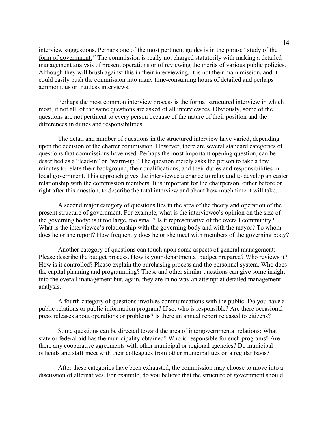interview suggestions. Perhaps one of the most pertinent guides is in the phrase "study of the form of government.*"* The commission is really not charged statutorily with making a detailed management analysis of present operations or of reviewing the merits of various public policies. Although they will brush against this in their interviewing, it is not their main mission, and it could easily push the commission into many time-consuming hours of detailed and perhaps acrimonious or fruitless interviews.

Perhaps the most common interview process is the formal structured interview in which most, if not all, of the same questions are asked of all interviewees. Obviously, some of the questions are not pertinent to every person because of the nature of their position and the differences in duties and responsibilities.

The detail and number of questions in the structured interview have varied, depending upon the decision of the charter commission. However, there are several standard categories of questions that commissions have used. Perhaps the most important opening question, can be described as a "lead-in" or "warm-up." The question merely asks the person to take a few minutes to relate their background, their qualifications, and their duties and responsibilities in local government. This approach gives the interviewee a chance to relax and to develop an easier relationship with the commission members. It is important for the chairperson, either before or right after this question, to describe the total interview and about how much time it will take.

A second major category of questions lies in the area of the theory and operation of the present structure of government. For example, what is the interviewee's opinion on the size of the governing body; is it too large, too small? Is it representative of the overall community? What is the interviewee's relationship with the governing body and with the mayor? To whom does he or she report? How frequently does he or she meet with members of the governing body?

Another category of questions can touch upon some aspects of general management: Please describe the budget process. How is your departmental budget prepared? Who reviews it? How is it controlled? Please explain the purchasing process and the personnel system. Who does the capital planning and programming? These and other similar questions can give some insight into the overall management but, again, they are in no way an attempt at detailed management analysis.

A fourth category of questions involves communications with the public: Do you have a public relations or public information program? If so, who is responsible? Are there occasional press releases about operations or problems? Is there an annual report released to citizens?

Some questions can be directed toward the area of intergovernmental relations: What state or federal aid has the municipality obtained? Who is responsible for such programs? Are there any cooperative agreements with other municipal or regional agencies? Do municipal officials and staff meet with their colleagues from other municipalities on a regular basis?

After these categories have been exhausted, the commission may choose to move into a discussion of alternatives. For example, do you believe that the structure of government should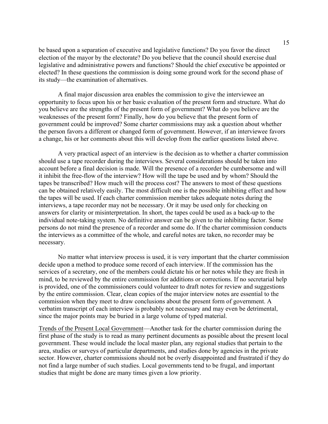be based upon a separation of executive and legislative functions? Do you favor the direct election of the mayor by the electorate? Do you believe that the council should exercise dual legislative and administrative powers and functions? Should the chief executive be appointed or elected? In these questions the commission is doing some ground work for the second phase of its study—the examination of alternatives.

A final major discussion area enables the commission to give the interviewee an opportunity to focus upon his or her basic evaluation of the present form and structure. What do you believe are the strengths of the present form of government? What do you believe are the weaknesses of the present form? Finally, how do you believe that the present form of government could be improved? Some charter commissions may ask a question about whether the person favors a different or changed form of government. However, if an interviewee favors a change, his or her comments about this will develop from the earlier questions listed above.

A very practical aspect of an interview is the decision as to whether a charter commission should use a tape recorder during the interviews. Several considerations should be taken into account before a final decision is made. Will the presence of a recorder be cumbersome and will it inhibit the free-flow of the interview? How will the tape be used and by whom? Should the tapes be transcribed? How much will the process cost? The answers to most of these questions can be obtained relatively easily. The most difficult one is the possible inhibiting effect and how the tapes will be used. If each charter commission member takes adequate notes during the interviews, a tape recorder may not be necessary. Or it may be used only for checking on answers for clarity or misinterpretation. In short, the tapes could be used as a back-up to the individual note-taking system. No definitive answer can be given to the inhibiting factor. Some persons do not mind the presence of a recorder and some do. If the charter commission conducts the interviews as a committee of the whole, and careful notes are taken, no recorder may be necessary.

No matter what interview process is used, it is very important that the charter commission decide upon a method to produce some record of each interview. If the commission has the services of a secretary, one of the members could dictate his or her notes while they are fresh in mind, to be reviewed by the entire commission for additions or corrections. If no secretarial help is provided, one of the commissioners could volunteer to draft notes for review and suggestions by the entire commission. Clear, clean copies of the major interview notes are essential to the commission when they meet to draw conclusions about the present form of government. A verbatim transcript of each interview is probably not necessary and may even be detrimental, since the major points may be buried in a large volume of typed material.

Trends of the Present Local Government—Another task for the charter commission during the first phase of the study is to read as many pertinent documents as possible about the present local government. These would include the local master plan, any regional studies that pertain to the area, studies or surveys of particular departments, and studies done by agencies in the private sector. However, charter commissions should not be overly disappointed and frustrated if they do not find a large number of such studies. Local governments tend to be frugal, and important studies that might be done are many times given a low priority.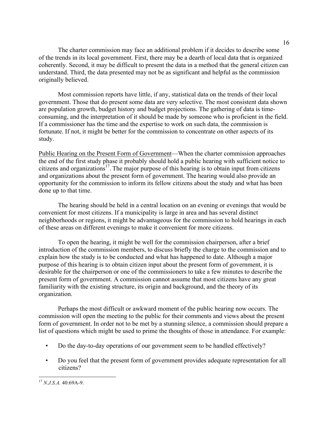The charter commission may face an additional problem if it decides to describe some of the trends in its local government. First, there may be a dearth of local data that is organized coherently. Second, it may be difficult to present the data in a method that the general citizen can understand. Third, the data presented may not be as significant and helpful as the commission originally believed.

Most commission reports have little, if any, statistical data on the trends of their local government. Those that do present some data are very selective. The most consistent data shown are population growth, budget history and budget projections. The gathering of data is timeconsuming, and the interpretation of it should be made by someone who is proficient in the field. If a commissioner has the time and the expertise to work on such data, the commission is fortunate. If not, it might be better for the commission to concentrate on other aspects of its study.

Public Hearing on the Present Form of Government—When the charter commission approaches the end of the first study phase it probably should hold a public hearing with sufficient notice to citizens and organizations<sup>17</sup>. The major purpose of this hearing is to obtain input from citizens and organizations about the present form of government. The hearing would also provide an opportunity for the commission to inform its fellow citizens about the study and what has been done up to that time.

The hearing should be held in a central location on an evening or evenings that would be convenient for most citizens. If a municipality is large in area and has several distinct neighborhoods or regions, it might be advantageous for the commission to hold hearings in each of these areas on different evenings to make it convenient for more citizens.

To open the hearing, it might be well for the commission chairperson, after a brief introduction of the commission members, to discuss briefly the charge to the commission and to explain how the study is to be conducted and what has happened to date. Although a major purpose of this hearing is to obtain citizen input about the present form of government, it is desirable for the chairperson or one of the commissioners to take a few minutes to describe the present form of government. A commission cannot assume that most citizens have any great familiarity with the existing structure, its origin and background, and the theory of its organization.

Perhaps the most difficult or awkward moment of the public hearing now occurs. The commission will open the meeting to the public for their comments and views about the present form of government. In order not to be met by a stunning silence, a commission should prepare a list of questions which might be used to prime the thoughts of those in attendance. For example:

- Do the day-to-day operations of our government seem to be handled effectively?
- Do you feel that the present form of government provides adequate representation for all citizens?

 <sup>17</sup> *N.J.S.A.* 40:69A-9.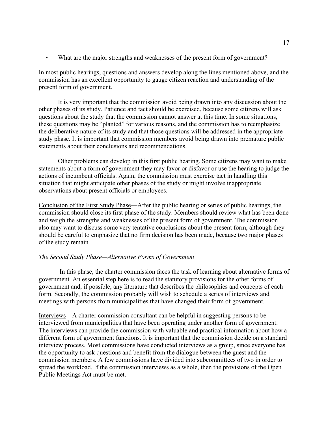• What are the major strengths and weaknesses of the present form of government?

In most public hearings, questions and answers develop along the lines mentioned above, and the commission has an excellent opportunity to gauge citizen reaction and understanding of the present form of government.

It is very important that the commission avoid being drawn into any discussion about the other phases of its study. Patience and tact should be exercised, because some citizens will ask questions about the study that the commission cannot answer at this time. In some situations, these questions may be "planted" for various reasons, and the commission has to reemphasize the deliberative nature of its study and that those questions will be addressed in the appropriate study phase. It is important that commission members avoid being drawn into premature public statements about their conclusions and recommendations.

Other problems can develop in this first public hearing. Some citizens may want to make statements about a form of government they may favor or disfavor or use the hearing to judge the actions of incumbent officials. Again, the commission must exercise tact in handling this situation that might anticipate other phases of the study or might involve inappropriate observations about present officials or employees.

Conclusion of the First Study Phase—After the public hearing or series of public hearings, the commission should close its first phase of the study. Members should review what has been done and weigh the strengths and weaknesses of the present form of government. The commission also may want to discuss some very tentative conclusions about the present form, although they should be careful to emphasize that no firm decision has been made, because two major phases of the study remain.

#### *The Second Study Phase—Alternative Forms of Government*

In this phase, the charter commission faces the task of learning about alternative forms of government. An essential step here is to read the statutory provisions for the other forms of government and, if possible, any literature that describes the philosophies and concepts of each form. Secondly, the commission probably will wish to schedule a series of interviews and meetings with persons from municipalities that have changed their form of government.

Interviews—A charter commission consultant can be helpful in suggesting persons to be interviewed from municipalities that have been operating under another form of government. The interviews can provide the commission with valuable and practical information about how a different form of government functions. It is important that the commission decide on a standard interview process. Most commissions have conducted interviews as a group, since everyone has the opportunity to ask questions and benefit from the dialogue between the guest and the commission members. A few commissions have divided into subcommittees of two in order to spread the workload. If the commission interviews as a whole, then the provisions of the Open Public Meetings Act must be met.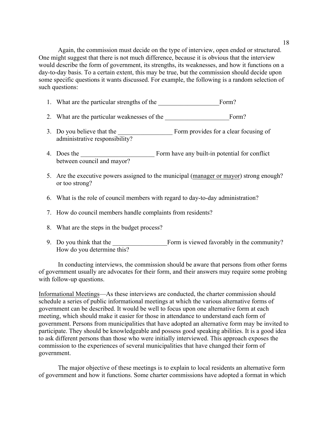18

Again, the commission must decide on the type of interview, open ended or structured. One might suggest that there is not much difference, because it is obvious that the interview would describe the form of government, its strengths, its weaknesses, and how it functions on a day-to-day basis. To a certain extent, this may be true, but the commission should decide upon some specific questions it wants discussed. For example, the following is a random selection of such questions:

- 1. What are the particular strengths of the Form?
- 2. What are the particular weaknesses of the Form?
- 3. Do you believe that the Form provides for a clear focusing of administrative responsibility?
- 4. Does the Form have any built-in potential for conflict between council and mayor?
- 5. Are the executive powers assigned to the municipal (manager or mayor) strong enough? or too strong?
- 6. What is the role of council members with regard to day-to-day administration?
- 7. How do council members handle complaints from residents?
- 8. What are the steps in the budget process?
- 9. Do you think that the Form is viewed favorably in the community? How do you determine this?

In conducting interviews, the commission should be aware that persons from other forms of government usually are advocates for their form, and their answers may require some probing with follow-up questions.

Informational Meetings—As these interviews are conducted, the charter commission should schedule a series of public informational meetings at which the various alternative forms of government can be described. It would be well to focus upon one alternative form at each meeting, which should make it easier for those in attendance to understand each form of government. Persons from municipalities that have adopted an alternative form may be invited to participate. They should be knowledgeable and possess good speaking abilities. It is a good idea to ask different persons than those who were initially interviewed. This approach exposes the commission to the experiences of several municipalities that have changed their form of government.

The major objective of these meetings is to explain to local residents an alternative form of government and how it functions. Some charter commissions have adopted a format in which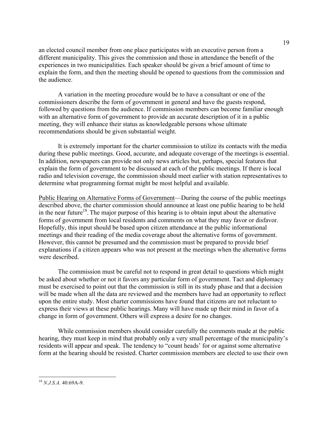an elected council member from one place participates with an executive person from a different municipality. This gives the commission and those in attendance the benefit of the experiences in two municipalities. Each speaker should be given a brief amount of time to explain the form, and then the meeting should be opened to questions from the commission and the audience.

A variation in the meeting procedure would be to have a consultant or one of the commissioners describe the form of government in general and have the guests respond, followed by questions from the audience. If commission members can become familiar enough with an alternative form of government to provide an accurate description of it in a public meeting, they will enhance their status as knowledgeable persons whose ultimate recommendations should be given substantial weight.

It is extremely important for the charter commission to utilize its contacts with the media during these public meetings. Good, accurate, and adequate coverage of the meetings is essential. In addition, newspapers can provide not only news articles but, perhaps, special features that explain the form of government to be discussed at each of the public meetings. If there is local radio and television coverage, the commission should meet earlier with station representatives to determine what programming format might be most helpful and available.

Public Hearing on Alternative Forms of Government—During the course of the public meetings described above, the charter commission should announce at least one public hearing to be held in the near future<sup>18</sup>. The major purpose of this hearing is to obtain input about the alternative forms of government from local residents and comments on what they may favor or disfavor. Hopefully, this input should be based upon citizen attendance at the public informational meetings and their reading of the media coverage about the alternative forms of government. However, this cannot be presumed and the commission must be prepared to provide brief explanations if a citizen appears who was not present at the meetings when the alternative forms were described.

The commission must be careful not to respond in great detail to questions which might be asked about whether or not it favors any particular form of government. Tact and diplomacy must be exercised to point out that the commission is still in its study phase and that a decision will be made when all the data are reviewed and the members have had an opportunity to reflect upon the entire study. Most charter commissions have found that citizens are not reluctant to express their views at these public hearings. Many will have made up their mind in favor of a change in form of government. Others will express a desire for no changes.

While commission members should consider carefully the comments made at the public hearing, they must keep in mind that probably only a very small percentage of the municipality's residents will appear and speak. The tendency to "count heads' for or against some alternative form at the hearing should be resisted. Charter commission members are elected to use their own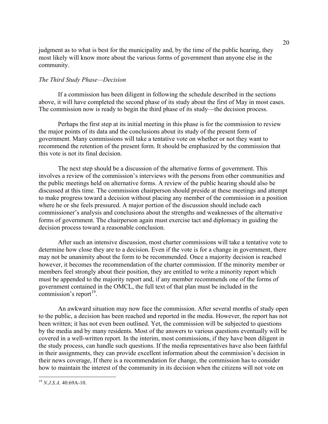judgment as to what is best for the municipality and, by the time of the public hearing, they most likely will know more about the various forms of government than anyone else in the community.

#### *The Third Study Phase—Decision*

If a commission has been diligent in following the schedule described in the sections above, it will have completed the second phase of its study about the first of May in most cases. The commission now is ready to begin the third phase of its study—the decision process.

Perhaps the first step at its initial meeting in this phase is for the commission to review the major points of its data and the conclusions about its study of the present form of government. Many commissions will take a tentative vote on whether or not they want to recommend the retention of the present form. It should be emphasized by the commission that this vote is not its final decision.

The next step should be a discussion of the alternative forms of government. This involves a review of the commission's interviews with the persons from other communities and the public meetings held on alternative forms. A review of the public hearing should also be discussed at this time. The commission chairperson should preside at these meetings and attempt to make progress toward a decision without placing any member of the commission in a position where he or she feels pressured. A major portion of the discussion should include each commissioner's analysis and conclusions about the strengths and weaknesses of the alternative forms of government. The chairperson again must exercise tact and diplomacy in guiding the decision process toward a reasonable conclusion.

After such an intensive discussion, most charter commissions will take a tentative vote to determine how close they are to a decision. Even if the vote is for a change in government, there may not be unanimity about the form to be recommended. Once a majority decision is reached however, it becomes the recommendation of the charter commission. If the minority member or members feel strongly about their position, they are entitled to write a minority report which must be appended to the majority report and, if any member recommends one of the forms of government contained in the OMCL, the full text of that plan must be included in the commission's report<sup>19</sup>.

An awkward situation may now face the commission. After several months of study open to the public, a decision has been reached and reported in the media. However, the report has not been written; it has not even been outlined. Yet, the commission will be subjected to questions by the media and by many residents. Most of the answers to various questions eventually will be covered in a well-written report. In the interim, most commissions, if they have been diligent in the study process, can handle such questions. If the media representatives have also been faithful in their assignments, they can provide excellent information about the commission's decision in their news coverage, If there is a recommendation for change, the commission has to consider how to maintain the interest of the community in its decision when the citizens will not vote on

 <sup>19</sup> *N.J.S.A.* 40:69A-10.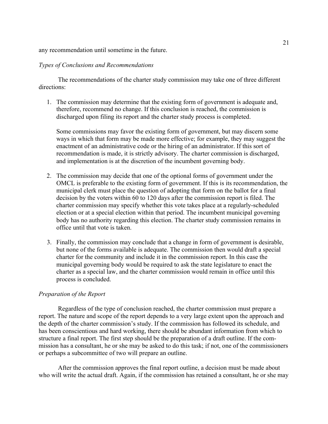any recommendation until sometime in the future.

#### *Types of Conclusions and Recommendations*

The recommendations of the charter study commission may take one of three different directions:

1. The commission may determine that the existing form of government is adequate and, therefore, recommend no change. If this conclusion is reached, the commission is discharged upon filing its report and the charter study process is completed.

Some commissions may favor the existing form of government, but may discern some ways in which that form may be made more effective; for example, they may suggest the enactment of an administrative code or the hiring of an administrator. If this sort of recommendation is made, it is strictly advisory. The charter commission is discharged, and implementation is at the discretion of the incumbent governing body.

- 2. The commission may decide that one of the optional forms of government under the OMCL is preferable to the existing form of government. If this is its recommendation, the municipal clerk must place the question of adopting that form on the ballot for a final decision by the voters within 60 to 120 days after the commission report is filed. The charter commission may specify whether this vote takes place at a regularly-scheduled election or at a special election within that period. The incumbent municipal governing body has no authority regarding this election. The charter study commission remains in office until that vote is taken.
- 3. Finally, the commission may conclude that a change in form of government is desirable, but none of the forms available is adequate. The commission then would draft a special charter for the community and include it in the commission report. In this case the municipal governing body would be required to ask the state legislature to enact the charter as a special law, and the charter commission would remain in office until this process is concluded.

#### *Preparation of the Report*

Regardless of the type of conclusion reached, the charter commission must prepare a report. The nature and scope of the report depends to a very large extent upon the approach and the depth of the charter commission's study. If the commission has followed its schedule, and has been conscientious and hard working, there should be abundant information from which to structure a final report. The first step should be the preparation of a draft outline. If the commission has a consultant, he or she may be asked to do this task; if not, one of the commissioners or perhaps a subcommittee of two will prepare an outline.

After the commission approves the final report outline, a decision must be made about who will write the actual draft. Again, if the commission has retained a consultant, he or she may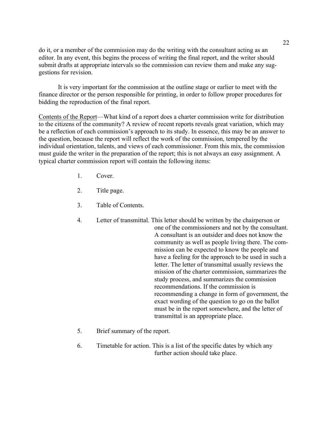do it, or a member of the commission may do the writing with the consultant acting as an editor. In any event, this begins the process of writing the final report, and the writer should submit drafts at appropriate intervals so the commission can review them and make any suggestions for revision.

It is very important for the commission at the outline stage or earlier to meet with the finance director or the person responsible for printing, in order to follow proper procedures for bidding the reproduction of the final report.

Contents of the Report—What kind of a report does a charter commission write for distribution to the citizens of the community? A review of recent reports reveals great variation, which may be a reflection of each commission's approach to its study. In essence, this may be an answer to the question, because the report will reflect the work of the commission, tempered by the individual orientation, talents, and views of each commissioner. From this mix, the commission must guide the writer in the preparation of the report; this is not always an easy assignment. A typical charter commission report will contain the following items:

- 1. Cover.
- 2. Title page.
- 3. Table of Contents.
- 4. Letter of transmittal. This letter should be written by the chairperson or one of the commissioners and not by the consultant. A consultant is an outsider and does not know the community as well as people living there. The commission can be expected to know the people and have a feeling for the approach to be used in such a letter. The letter of transmittal usually reviews the mission of the charter commission, summarizes the study process, and summarizes the commission recommendations. If the commission is recommending a change in form of government, the exact wording of the question to go on the ballot must be in the report somewhere, and the letter of transmittal is an appropriate place.
- 5. Brief summary of the report.
- 6. Timetable for action. This is a list of the specific dates by which any further action should take place.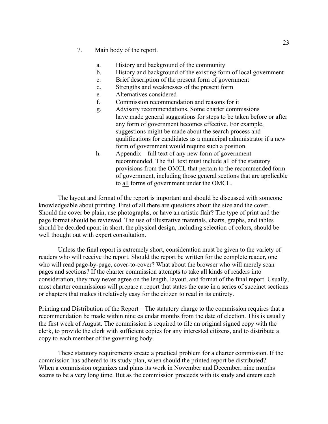- 7. Main body of the report.
	- a. History and background of the community
	- b. History and background of the existing form of local government
	- c. Brief description of the present form of government
	- d. Strengths and weaknesses of the present form
	- e. Alternatives considered
	- f. Commission recommendation and reasons for it
	- g. Advisory recommendations. Some charter commissions have made general suggestions for steps to be taken before or after any form of government becomes effective. For example, suggestions might be made about the search process and qualifications for candidates as a municipal administrator if a new form of government would require such a position.
	- h. Appendix—full text of any new form of government recommended. The full text must include all of the statutory provisions from the OMCL that pertain to the recommended form of government, including those general sections that are applicable to all forms of government under the OMCL.

The layout and format of the report is important and should be discussed with someone knowledgeable about printing. First of all there are questions about the size and the cover. Should the cover be plain, use photographs, or have an artistic flair? The type of print and the page format should be reviewed. The use of illustrative materials, charts, graphs, and tables should be decided upon; in short, the physical design, including selection of colors, should be well thought out with expert consultation.

Unless the final report is extremely short, consideration must be given to the variety of readers who will receive the report. Should the report be written for the complete reader, one who will read page-by-page, cover-to-cover? What about the browser who will merely scan pages and sections? If the charter commission attempts to take all kinds of readers into consideration, they may never agree on the length, layout, and format of the final report. Usually, most charter commissions will prepare a report that states the case in a series of succinct sections or chapters that makes it relatively easy for the citizen to read in its entirety.

Printing and Distribution of the Report—The statutory charge to the commission requires that a recommendation be made within nine calendar months from the date of election. This is usually the first week of August. The commission is required to file an original signed copy with the clerk, to provide the clerk with sufficient copies for any interested citizens, and to distribute a copy to each member of the governing body.

These statutory requirements create a practical problem for a charter commission. If the commission has adhered to its study plan, when should the printed report be distributed? When a commission organizes and plans its work in November and December, nine months seems to be a very long time. But as the commission proceeds with its study and enters each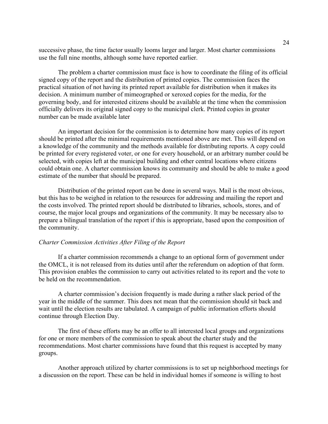successive phase, the time factor usually looms larger and larger. Most charter commissions use the full nine months, although some have reported earlier.

The problem a charter commission must face is how to coordinate the filing of its official signed copy of the report and the distribution of printed copies. The commission faces the practical situation of not having its printed report available for distribution when it makes its decision. A minimum number of mimeographed or xeroxed copies for the media, for the governing body, and for interested citizens should be available at the time when the commission officially delivers its original signed copy to the municipal clerk. Printed copies in greater number can be made available later

An important decision for the commission is to determine how many copies of its report should be printed after the minimal requirements mentioned above are met. This will depend on a knowledge of the community and the methods available for distributing reports. A copy could be printed for every registered voter, or one for every household, or an arbitrary number could be selected, with copies left at the municipal building and other central locations where citizens could obtain one. A charter commission knows its community and should be able to make a good estimate of the number that should be prepared.

Distribution of the printed report can be done in several ways. Mail is the most obvious, but this has to be weighed in relation to the resources for addressing and mailing the report and the costs involved. The printed report should be distributed to libraries, schools, stores, and of course, the major local groups and organizations of the community. It may be necessary also to prepare a bilingual translation of the report if this is appropriate, based upon the composition of the community.

#### *Charter Commission Activities After Filing of the Report*

If a charter commission recommends a change to an optional form of government under the OMCL, it is not released from its duties until after the referendum on adoption of that form. This provision enables the commission to carry out activities related to its report and the vote to be held on the recommendation.

A charter commission's decision frequently is made during a rather slack period of the year in the middle of the summer. This does not mean that the commission should sit back and wait until the election results are tabulated. A campaign of public information efforts should continue through Election Day.

The first of these efforts may be an offer to all interested local groups and organizations for one or more members of the commission to speak about the charter study and the recommendations. Most charter commissions have found that this request is accepted by many groups.

Another approach utilized by charter commissions is to set up neighborhood meetings for a discussion on the report. These can be held in individual homes if someone is willing to host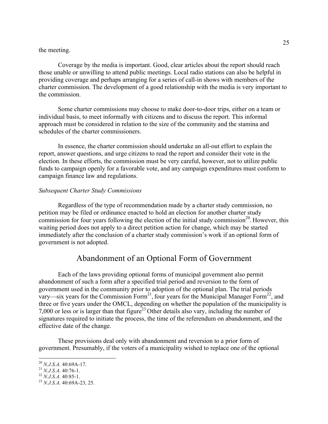#### the meeting.

Coverage by the media is important. Good, clear articles about the report should reach those unable or unwilling to attend public meetings. Local radio stations can also be helpful in providing coverage and perhaps arranging for a series of call-in shows with members of the charter commission. The development of a good relationship with the media is very important to the commission.

Some charter commissions may choose to make door-to-door trips, either on a team or individual basis, to meet informally with citizens and to discuss the report. This informal approach must be considered in relation to the size of the community and the stamina and schedules of the charter commissioners.

In essence, the charter commission should undertake an all-out effort to explain the report, answer questions, and urge citizens to read the report and consider their vote in the election. In these efforts, the commission must be very careful, however, not to utilize public funds to campaign openly for a favorable vote, and any campaign expenditures must conform to campaign finance law and regulations.

#### *Subsequent Charter Study Commissions*

Regardless of the type of recommendation made by a charter study commission, no petition may be filed or ordinance enacted to hold an election for another charter study commission for four years following the election of the initial study commission<sup>20</sup>. However, this waiting period does not apply to a direct petition action for change, which may be started immediately after the conclusion of a charter study commission's work if an optional form of government is not adopted.

## Abandonment of an Optional Form of Government

Each of the laws providing optional forms of municipal government also permit abandonment of such a form after a specified trial period and reversion to the form of government used in the community prior to adoption of the optional plan. The trial periods vary—six years for the Commission Form<sup>21</sup>, four years for the Municipal Manager Form<sup>22</sup>, and three or five years under the OMCL, depending on whether the population of the municipality is 7,000 or less or is larger than that figure<sup>23</sup> Other details also vary, including the number of signatures required to initiate the process, the time of the referendum on abandonment, and the effective date of the change.

These provisions deal only with abandonment and reversion to a prior form of government. Presumably, if the voters of a municipality wished to replace one of the optional

<sup>20</sup> *N.J.S.A.* 40:69A-17. <sup>21</sup> *N.J.S.A.* 40:76-1. <sup>22</sup> *N.J.S.A.* 40:85-1. <sup>23</sup> *N.J.S.A.* 40:69A-23, 25.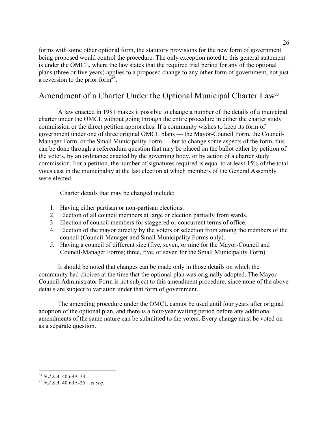forms with some other optional form, the statutory provisions for the new form of government being proposed would control the procedure. The only exception noted to this general statement is under the OMCL, where the law states that the required trial period for any of the optional plans (three or five years) applies to a proposed change to any other form of government, not just a reversion to the prior form $^{24}$ .

## Amendment of a Charter Under the Optional Municipal Charter Law*<sup>25</sup>*

A law enacted in 1981 makes it possible to change a number of the details of a municipal charter under the OMCL without going through the entire procedure in either the charter study commission or the direct petition approaches. If a community wishes to keep its form of government under one of three original OMCL plans — the Mayor-Council Form, the Council-Manager Form, or the Small Municipality Form — but to change some aspects of the form, this can be done through a referendum question that may be placed on the ballot either by petition of the voters, by an ordinance enacted by the governing body, or by action of a charter study commission. For a petition, the number of signatures required is equal to at least 15% of the total votes cast in the municipality at the last election at which members of the General Assembly were elected.

Charter details that may be changed include:

- 1. Having either partisan or non-partisan elections.
- 2. Election of all council members at large or election partially from wards.
- 3. Election of council members for staggered or concurrent terms of office.
- 4. Election of the mayor directly by the voters or selection from among the members of the council (Council-Manager and Small Municipality Forms only).
- *5.* Having a council of different size (five, seven, or nine for the Mayor-Council and Council-Manager Forms; three, five, or seven for the Small Municipality Form).

It should be noted that changes can be made only in those details on which the community had choices at the time that the optional plan was originally adopted. The Mayor-Council-Administrator Form is not subject to this amendment procedure, since none of the above details are subject to variation under that form of government.

The amending procedure under the OMCL cannot be used until four years after original adoption of the optional plan, and there is a four-year waiting period before any additional amendments of the same nature can be submitted to the voters. Every change must be voted on as a separate question.

<sup>24</sup> *N.J.S.A.* 40:69A-23 <sup>25</sup> *N.J.S.A.* 40:69A-25.1 *et seq.*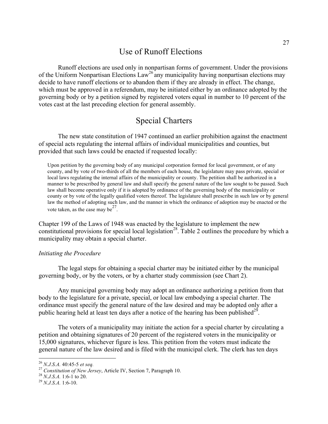## Use of Runoff Elections

Runoff elections are used only in nonpartisan forms of government. Under the provisions of the Uniform Nonpartisan Elections  $Law^{26}$  any municipality having nonpartisan elections may decide to have runoff elections or to abandon them if they are already in effect. The change, which must be approved in a referendum, may be initiated either by an ordinance adopted by the governing body or by a petition signed by registered voters equal in number to 10 percent of the votes cast at the last preceding election for general assembly.

## Special Charters

The new state constitution of 1947 continued an earlier prohibition against the enactment of special acts regulating the internal affairs of individual municipalities and counties, but provided that such laws could be enacted if requested locally:

Upon petition by the governing body of any municipal corporation formed for local government, or of any county, and by vote of two-thirds of all the members of each house, the legislature may pass private, special or local laws regulating the internal affairs of the municipality or county. The petition shall be authorized in a manner to be prescribed by general law and shall specify the general nature of the law sought to be passed. Such law shall become operative only if it is adopted by ordinance of the governing body of the municipality or county or by vote of the legally qualified voters thereof. The legislature shall prescribe in such law or by general law the method of adopting such law, and the manner in which the ordinance of adoption may be enacted or the vote taken, as the case may be $^{27}$ .

Chapter 199 of the Laws of 1948 was enacted by the legislature to implement the new constitutional provisions for special local legislation<sup>28</sup>. Table 2 outlines the procedure by which a municipality may obtain a special charter.

#### *Initiating the Procedure*

The legal steps for obtaining a special charter may be initiated either by the municipal governing body, or by the voters, or by a charter study commission (see Chart 2).

Any municipal governing body may adopt an ordinance authorizing a petition from that body to the legislature for a private, special, or local law embodying a special charter. The ordinance must specify the general nature of the law desired and may be adopted only after a public hearing held at least ten days after a notice of the hearing has been published<sup>29</sup>.

The voters of a municipality may initiate the action for a special charter by circulating a petition and obtaining signatures of 20 percent of the registered voters in the municipality or 15,000 signatures, whichever figure is less. This petition from the voters must indicate the general nature of the law desired and is filed with the municipal clerk. The clerk has ten days

<sup>&</sup>lt;sup>26</sup> *N.J.S.A.* 40:45-5 *et seq.*<br><sup>27</sup> *Constitution of New Jersey*, Article IV, Section 7, Paragraph 10.<br><sup>28</sup> *N.J.S.A.* 1:6-1 to 20. <sup>29</sup> *N.J.S.A.* 1:6-10.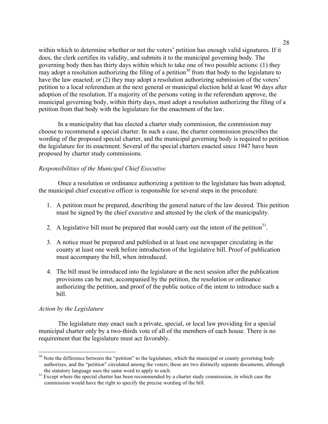within which to determine whether or not the voters' petition has enough valid signatures. If it does, the clerk certifies its validity, and submits it to the municipal governing body. The governing body then has thirty days within which to take one of two possible actions: (1) they may adopt a resolution authorizing the filing of a petition<sup>30</sup> from that body to the legislature to have the law enacted; or (2) they may adopt a resolution authorizing submission of the voters' petition to a local referendum at the next general or municipal election held at least 90 days after adoption of the resolution. If a majority of the persons voting in the referendum approve, the municipal governing body, within thirty days, must adopt a resolution authorizing the filing of a petition from that body with the legislature for the enactment of the law.

In a municipality that has elected a charter study commission, the commission may choose to recommend a special charter. In such a case, the charter commission prescribes the wording of the proposed special charter, and the municipal governing body is required to petition the legislature for its enactment. Several of the special charters enacted since 1947 have been proposed by charter study commissions.

#### *Responsibilities of the Municipal Chief Executive*

Once a resolution or ordinance authorizing a petition to the legislature has been adopted, the municipal chief executive officer is responsible for several steps in the procedure.

- 1. A petition must be prepared, describing the general nature of the law desired. This petition must be signed by the chief executive and attested by the clerk of the municipality.
- 2. A legislative bill must be prepared that would carry out the intent of the petition<sup>31</sup>.
- 3. A notice must be prepared and published in at least one newspaper circulating in the county at least one week before introduction of the legislative bill. Proof of publication must accompany the bill, when introduced.
- 4. The bill must be introduced into the legislature at the next session after the publication provisions can be met, accompanied by the petition, the resolution or ordinance authorizing the petition, and proof of the public notice of the intent to introduce such a bill.

#### *Action by the Legislature*

The legislature may enact such a private, special, or local law providing for a special municipal charter only by a two-thirds vote of all of the members of each house. There is no requirement that the legislature must act favorably.

<sup>&</sup>lt;sup>30</sup> Note the difference between the "petition" to the legislature, which the municipal or county governing body authorizes, and the "petition" circulated among the voters; these are two distinctly separate documents, although the statutory language uses the same word to apply to each. <sup>31</sup> Except where the special charter has been recommended by a charter study commission, in which case the

commission would have the right to specify the precise wording of the bill.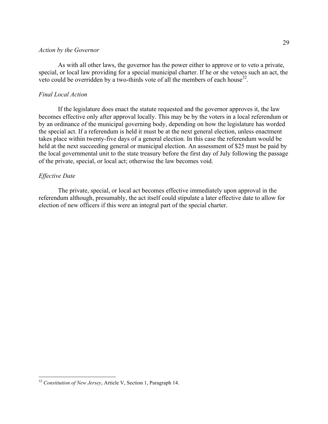#### *Action by the Governor*

As with all other laws, the governor has the power either to approve or to veto a private, special, or local law providing for a special municipal charter. If he or she vetoes such an act, the veto could be overridden by a two-thirds vote of all the members of each house<sup>32</sup>.

#### *Final Local Action*

If the legislature does enact the statute requested and the governor approves it, the law becomes effective only after approval locally. This may be by the voters in a local referendum or by an ordinance of the municipal governing body, depending on how the legislature has worded the special act. If a referendum is held it must be at the next general election, unless enactment takes place within twenty-five days of a general election. In this case the referendum would be held at the next succeeding general or municipal election. An assessment of \$25 must be paid by the local governmental unit to the state treasury before the first day of July following the passage of the private, special, or local act; otherwise the law becomes void.

#### *Effective Date*

The private, special, or local act becomes effective immediately upon approval in the referendum although, presumably, the act itself could stipulate a later effective date to allow for election of new officers if this were an integral part of the special charter.

 <sup>32</sup> *Constitution of New Jersey*, Article V, Section 1, Paragraph 14.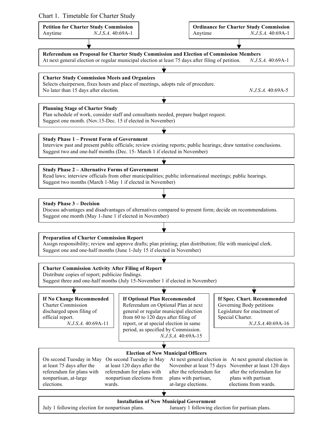| Chart 1. Timetable for Charter Study |  |  |
|--------------------------------------|--|--|
|--------------------------------------|--|--|